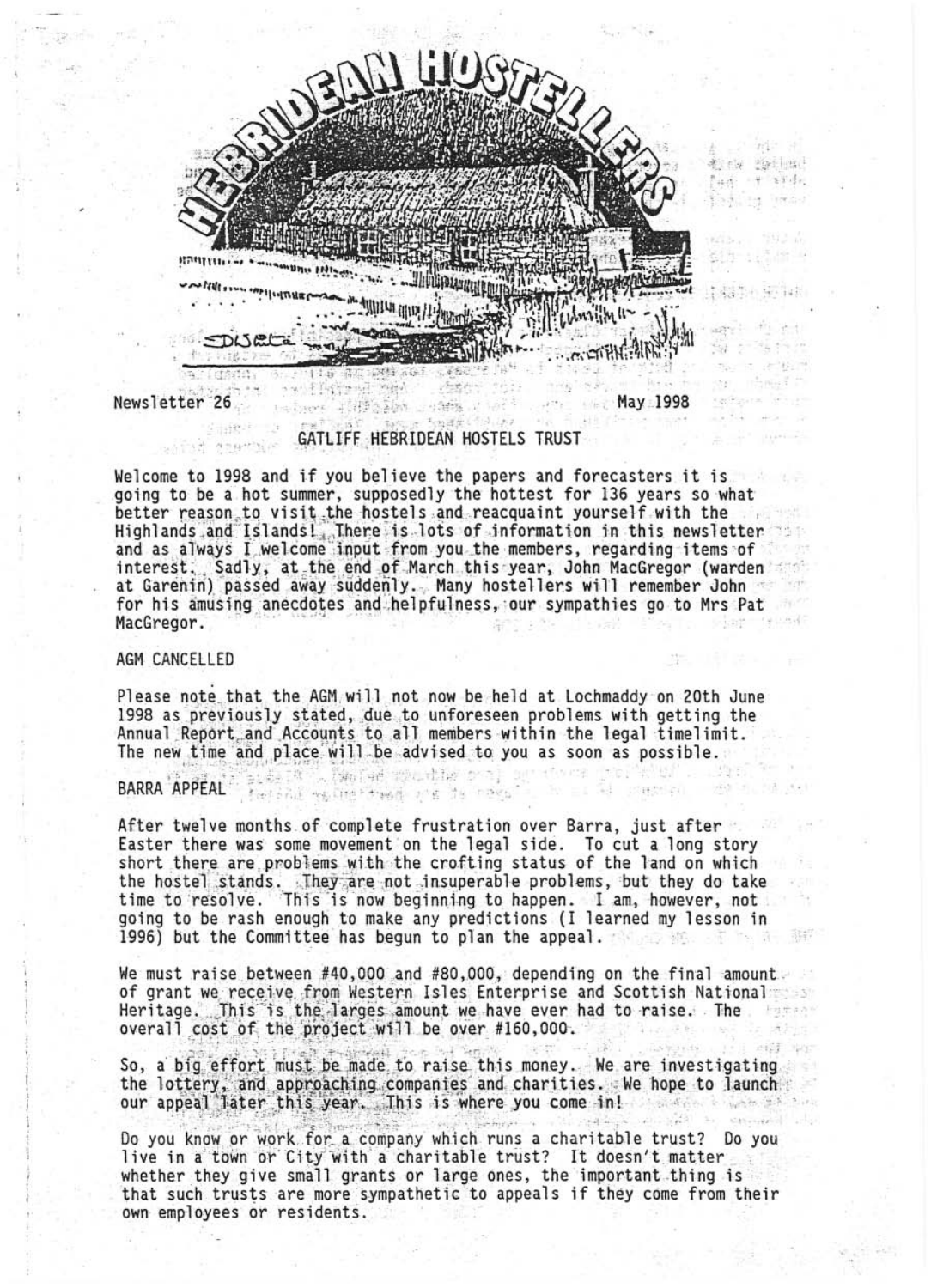

Newsletter 26

Fix Angers is

May 1998

 $\sim -10$ 

c. station

# GATLIFF HEBRIDEAN HOSTELS TRUST

Welcome to 1998 and if you believe the papers and forecasters it is going to be a hot summer, supposedly the hottest for 136 years so what better reason to visit the hostels and reacquaint yourself with the Highlands and Islands I There is lots of information in this newsletter<br>and as always I welcome input from you the members, regarding items of interest. Sadly, at the end of March this year, John MacGregor (warden at Garenin) passed away suddenly. Many hostellers will remember John for his amusing anecdotes and helpfulness, our sympathies go to Mrs Pat MacGregor.

## AGM CANCELLED

Please note that the AGM will not now be held at Lochmaddy on 20th June 1998 as previously stated, due to unforeseen problems with getting the Annual Report and Accounts to all members within the legal timelimit. The new time and place will be advised to you as soon as possible.

In a family method of the state solice

# BARRA APPEAL Technic resumer treat and the norm

After twelve months of complete frustration over Barra, just after Easter there was some movement on the legal side. To cut a long story short there are problems with the crofting status of the land on which the hostel stands. They are not insuperable problems, but they do take<br>time to resolve. This is now beginning to happen. I am, however, not<br>going to be rash enough to make any predictions (I learned my lesson in 1996) but the Committee has begun to plan the appeal. - 深川 作品 清一 清朝

We must raise between #40,000 and #80,000, depending on the final amount. of grant we receive from Western Isles Enterprise and Scottish National Heritage. This is the larges amount we have ever had to raise. The overall cost of the project will be over #160,000.

So, a big effort must be made to raise this money. We are investigating the lottery, and approaching companies and charities. We hope to launch our appeal later this year. This is where you come in!

Do you know or work for a company which runs a charitable trust? Do you live in a town or City with a charitable trust? It doesn't matter whether they give small grants or large ones, the important thing is that such trusts are more sympathetic to appeals if they come from their own employees or residents.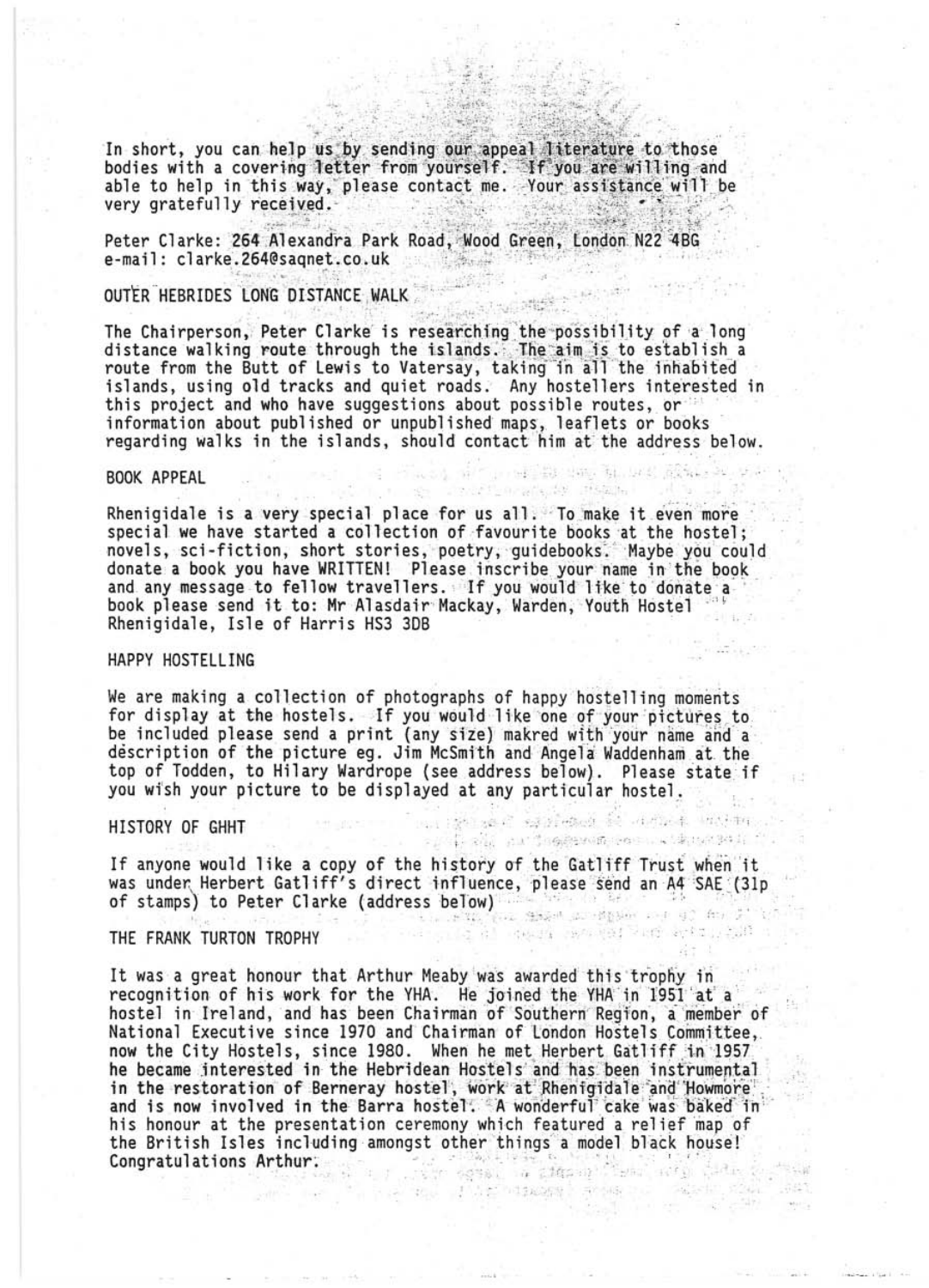In short, you can help us by sending our appeal literature to those bodies with a covering letter from yourself. If you are willing and able to help in this way, please contact me. Your assistance will be very gratefully received.

Peter Clarke: 264 Alexandra Park Road, Wood Green, London N22 4BG e-mail: clarke.264@sagnet.co.uk

# OUTER HEBRIDES LONG DISTANCE WALK

The Chairperson, Peter Clarke is researching the possibility of a long distance walking route through the islands. The aim is to establish a route from the Butt of Lewis to Vatersay, taking in all the inhabited<br>islands, using old tracks and quiet roads. Any hostellers interested in this project and who have suggestions about possible routes, or information about published or unpublished maps, leaflets or books regarding walks in the islands, should contact him at the address below.

and all markets was the web about the

(2) 法约束 经产品经济网络 经 计可记录 地位物

speciestic and segment community material

consider to restate

#### BOOK APPEAL

Rhenigidale is a very special place for us all. To make it even more special we have started a collection of favourite books at the hostel;<br>novels, sci-fiction, short stories, poetry, guidebooks. Maybe you could donate a book you have WRITTEN! Please inscribe your name in the book and any message to fellow travellers. If you would like to donate a book please send it to: Mr Alasdair Mackay, Warden, Youth Hostel Rhenigidale, Isle of Harris HS3 3DB

#### HAPPY HOSTELLING

We are making a collection of photographs of happy hostelling moments for display at the hostels. If you would like one of your pictures to be included please send a print (any size) makred with your name and a description of the picture eg. Jim McSmith and Angela Waddenham at the top of Todden, to Hilary Wardrope (see address below). Please state if you wish your picture to be displayed at any particular hostel.

#### HISTORY OF GHHT

If anyone would like a copy of the history of the Gatliff Trust when it Was under Herbert Gatliff's direct influence, please send an A4 SAE (31p Of stamps) to Peter Clarke (address below)

#### THE FRANK TURTON TROPHY

It was a great honour that Arthur Meaby was awarded this trophy in recognition of his work for the YHA. He joined the YHA in 1951 at a hostel in Ireland, and has been Chairman of Southern Region, a member of National Executive since 1970 and Chairman of London Hostels Committee, now the City Hostels, since 1980. When he met Herbert Gatliff in 1957 he became interested in the Hebridean Hostels and has been instrumental in the restoration of Berneray hostel, work at Rhenigidale and Howmore<br>and is now involved in the Barra hostel. A wonderful cake was baked in his honour at the presentation ceremony which featured a relief map of the British Isles including amongst other things a model black house! **Congratulations Arthur:**  $\frac{1}{2}$  ,  $\frac{1}{2}$  ,  $\frac{1}{2}$  ,  $\frac{1}{2}$  ,  $\frac{1}{2}$  ,  $\frac{1}{2}$  ,  $\frac{1}{2}$  ,  $\frac{1}{2}$  ,  $\frac{1}{2}$  ,  $\frac{1}{2}$  ,  $\frac{1}{2}$  ,  $\frac{1}{2}$  ,  $\frac{1}{2}$  ,  $\frac{1}{2}$  ,  $\frac{1}{2}$  ,  $\frac{1}{2}$  ,  $\frac$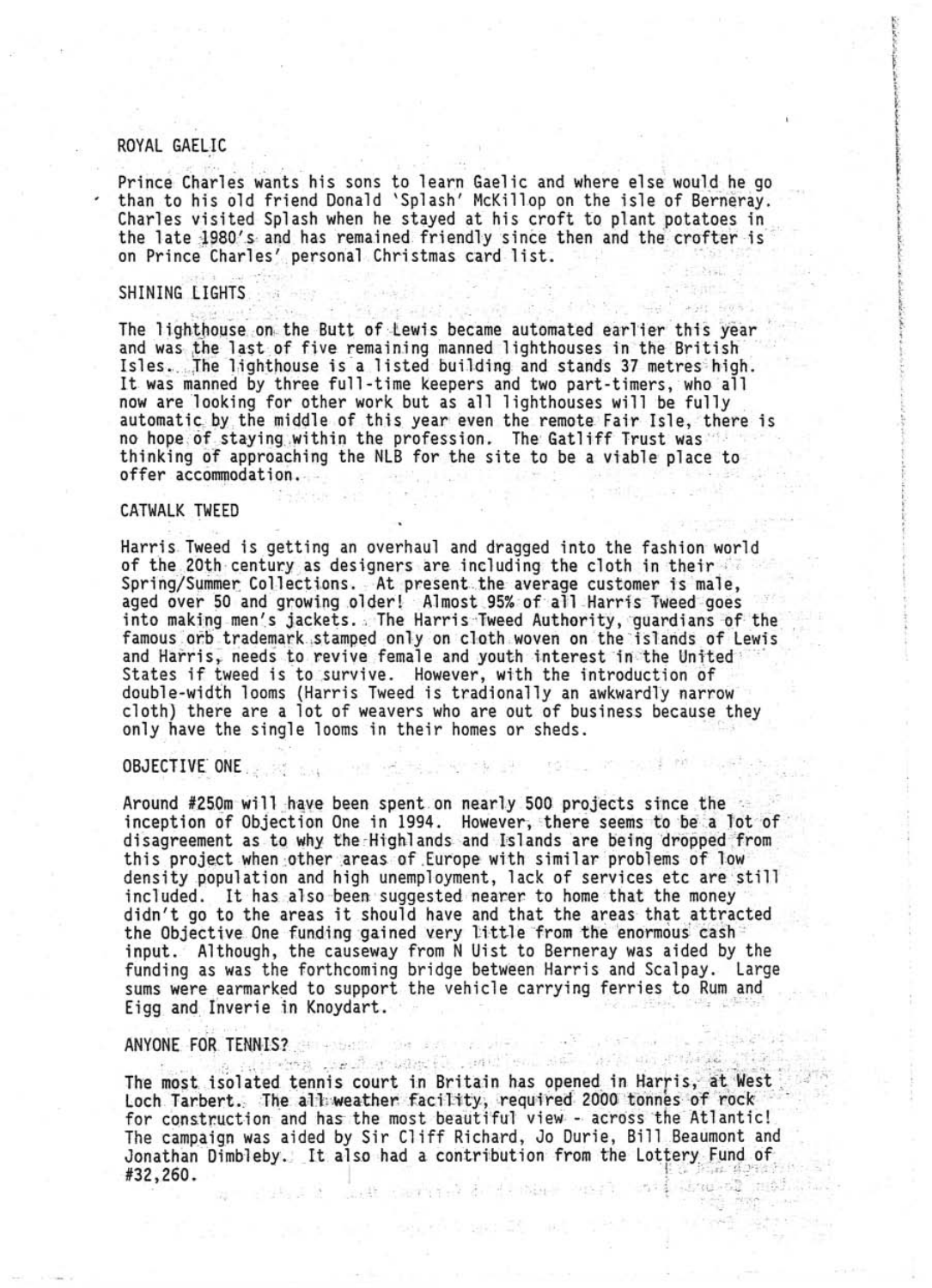### ROYAL GAELIC

Prince Charles wants his sons to learn Gaelic and where else would he go than to his old friend Donald 'Splash' McKillop on the isle of Berneray. Charles visited Splash when he stayed at his croft to plant potatoes in the late 1980's and has remained friendly since then and the crofter is on Prince Charles' personal Christmas card list.

#### SHINING LIGHTS

The lighthouse on the Butt of Lewis became automated earlier this year and was the last of five remaining manned lighthouses in the British Isles. The lighthouse is a listed building and stands 37 metres high. It was manned by three full-time keepers and two part-timers, who all now are looking for other work but as all lighthouses will be fully automatic by the middle of this year even the remote Fair Isle, there is no hope of staying within the profession. The Gatliff Trust was thinking of approaching the NLB for the site to be a viable place to offer accommodation.

# CATWALK TWEED

Harris Tweed is getting an overhaul and dragged into the fashion world of the 20th century as designers are including the cloth in their Spring/Summer Collections. At present the average customer is male, aged over 50 and growing older! Almost 95% of all Harris Tweed goes into making men's jackets. The Harris Tweed Authority, quardians of the famous orb trademark stamped only on cloth woven on the islands of Lewis and Harris, needs to revive female and youth interest in the United States if tweed is to survive. However, with the introduction of double-width looms (Harris Tweed is tradionally an awkwardly narrow cloth) there are a lot of weavers who are out of business because they only have the single looms in their homes or sheds.

#### OBJECTIVE ONE

Around #250m will have been spent on nearly 500 projects since the inception of Objection One in 1994. However, there seems to be a lot of disagreement as to why the Highlands and Islands are being dropped from this project when other areas of Europe with similar problems of low density population and high unemployment, lack of services etc are still included. It has also been suggested nearer to home that the money didn't go to the areas it should have and that the areas that attracted the Objective One funding gained very little from the enormous cash input. Although, the causeway from N Uist to Berneray was aided by the funding as was the forthcoming bridge between Harris and Scalpay. Large sums were earmarked to support the vehicle carrying ferries to Rum and Eigg and Inverie in Knoydart.

### ANYONE FOR TENNIS? புக்கு அதி குண்டு முகியவிட

The most isolated tennis court in Britain has opened in Harris, at West Loch Tarbert. The all weather facility, required 2000 tonnes of rock for construction and has the most beautiful view - across the Atlantic! The campaign was aided by Sir Cliff Richard, Jo Durie, Bill Beaumont and Jonathan Dimbleby. It also had a contribution from the Lottery Fund of #32,260.

We all stay of the face.